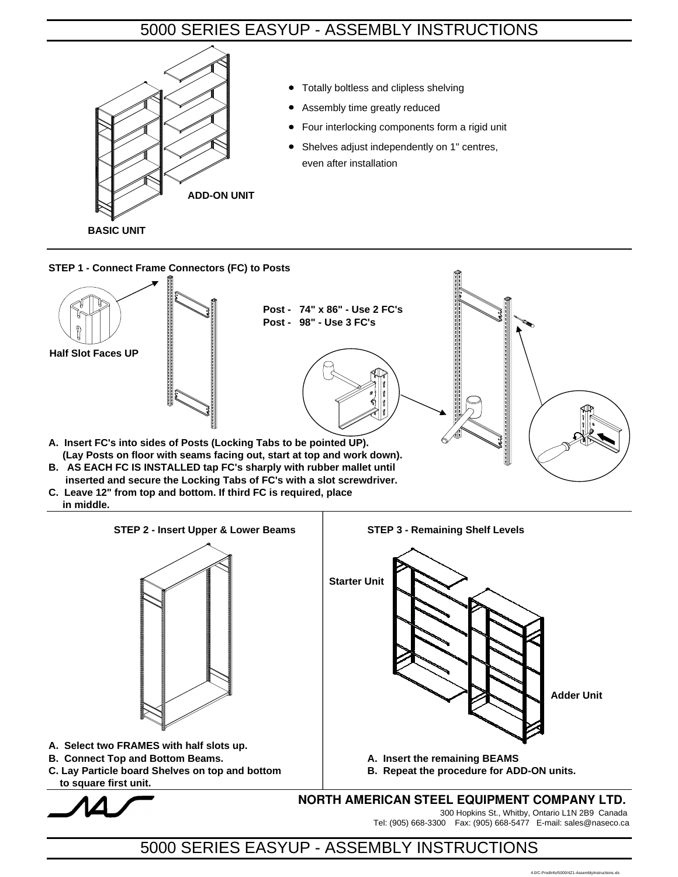## 5000 SERIES EASYUP - ASSEMBLY INSTRUCTIONS



**STEP 1 - Connect Frame Connectors (FC) to Posts**



**C. Leave 12" from top and bottom. If third FC is required, place in middle.**



 **to square first unit.**



**NORTH AMERICAN STEEL EQUIPMENT COMPANY LTD.**

300 Hopkins St., Whitby, Ontario L1N 2B9 Canada Tel: (905) 668-3300 Fax: (905) 668-5477 E-mail: sales@naseco.ca

## 5000 SERIES EASYUP - ASSEMBLY INSTRUCTIONS